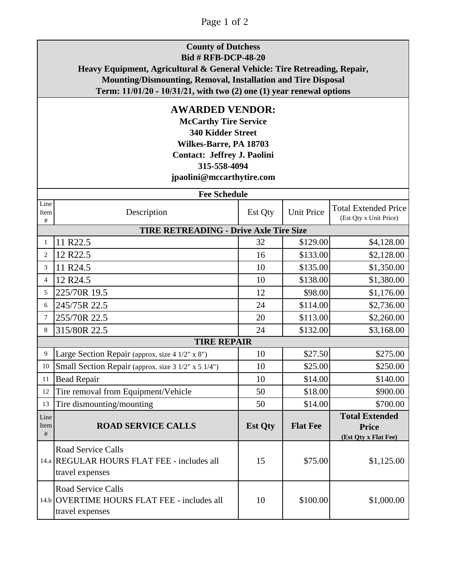Page 1 of 2

## **County of Dutchess**

**Bid # RFB-DCP-48-20**

**Heavy Equipment, Agricultural & General Vehicle: Tire Retreading, Repair, Mounting/Dismounting, Removal, Installation and Tire Disposal Term: 11/01/20 - 10/31/21, with two (2) one (1) year renewal options**

## **AWARDED VENDOR:**

**McCarthy Tire Service 340 Kidder Street Wilkes-Barre, PA 18703 Contact: Jeffrey J. Paolini 315-558-4094 jpaolini@mccarthytire.com** 

| <b>Fee Schedule</b>                           |                                                                                             |                |                   |                                                               |  |  |
|-----------------------------------------------|---------------------------------------------------------------------------------------------|----------------|-------------------|---------------------------------------------------------------|--|--|
| Line<br>Item<br>#                             | Description                                                                                 | Est Qty        | <b>Unit Price</b> | <b>Total Extended Price</b><br>(Est Qty x Unit Price)         |  |  |
| <b>TIRE RETREADING - Drive Axle Tire Size</b> |                                                                                             |                |                   |                                                               |  |  |
| $\mathbf{1}$                                  | 11 R22.5                                                                                    | 32             | \$129.00          | \$4,128.00                                                    |  |  |
| 2                                             | 12 R22.5                                                                                    | 16             | \$133.00          | \$2,128.00                                                    |  |  |
| 3                                             | 11 R24.5                                                                                    | 10             | \$135.00          | \$1,350.00                                                    |  |  |
| 4                                             | 12 R <sub>24.5</sub>                                                                        | 10             | \$138.00          | \$1,380.00                                                    |  |  |
| 5                                             | 225/70R 19.5                                                                                | 12             | \$98.00           | \$1,176.00                                                    |  |  |
| 6                                             | 245/75R 22.5                                                                                | 24             | \$114.00          | \$2,736.00                                                    |  |  |
| 7                                             | 255/70R 22.5                                                                                | 20             | \$113.00          | \$2,260.00                                                    |  |  |
| 8                                             | 315/80R 22.5                                                                                | 24             | \$132.00          | \$3,168.00                                                    |  |  |
| <b>TIRE REPAIR</b>                            |                                                                                             |                |                   |                                                               |  |  |
| 9                                             | Large Section Repair (approx. size 4 1/2" x 8")                                             | 10             | \$27.50           | \$275.00                                                      |  |  |
| 10                                            | Small Section Repair (approx. size 3 1/2" x 5 1/4")                                         | 10             | \$25.00           | \$250.00                                                      |  |  |
| 11                                            | <b>Bead Repair</b>                                                                          | 10             | \$14.00           | \$140.00                                                      |  |  |
| 12                                            | Tire removal from Equipment/Vehicle                                                         | 50             | \$18.00           | \$900.00                                                      |  |  |
| 13                                            | Tire dismounting/mounting                                                                   | 50             | \$14.00           | \$700.00                                                      |  |  |
| Line<br>Item<br>#                             | <b>ROAD SERVICE CALLS</b>                                                                   | <b>Est Qty</b> | <b>Flat Fee</b>   | <b>Total Extended</b><br><b>Price</b><br>(Est Qty x Flat Fee) |  |  |
|                                               | <b>Road Service Calls</b><br>14.a REGULAR HOURS FLAT FEE - includes all<br>travel expenses  | 15             | \$75.00           | \$1,125.00                                                    |  |  |
|                                               | <b>Road Service Calls</b><br>14.b OVERTIME HOURS FLAT FEE - includes all<br>travel expenses | 10             | \$100.00          | \$1,000.00                                                    |  |  |